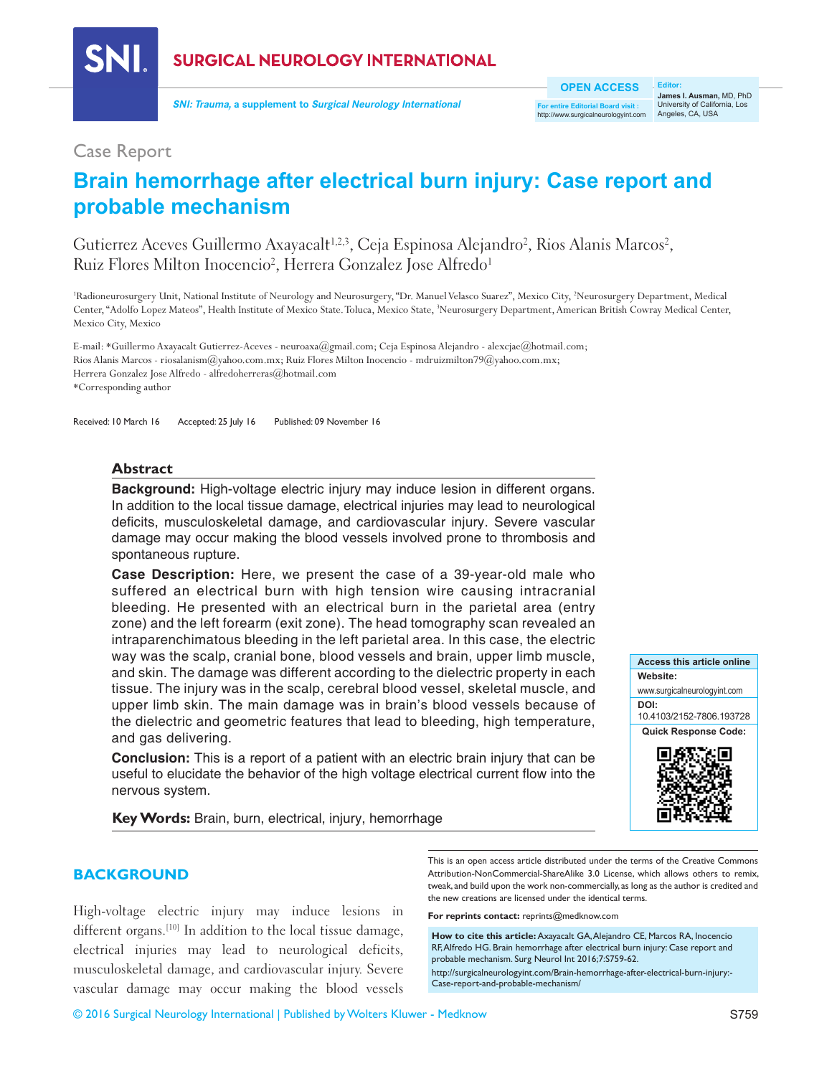

**SURGICAL NEUROLOGY INTERNATIONAL** 

**SNI: Trauma, a supplement to Surgical Neurology International** 

**OPEN ACCESS**

**For entire Editorial Board visit :** //www.surgicalneurologyint.com

**Editor: James I. Ausman,** MD, PhD University of California, Los Angeles, CA, USA

## Case Report

## **Brain hemorrhage after electrical burn injury: Case report and probable mechanism**

Gutierrez Aceves Guillermo Axayacalt $^{1,2,3}$ , Ceja Espinosa Alejandro<sup>2</sup>, Rios Alanis Marcos<sup>2</sup>, Ruiz Flores Milton Inocencio<sup>2</sup>, Herrera Gonzalez Jose Alfredo<sup>1</sup>

<sup>1</sup>Radioneurosurgery Unit, National Institute of Neurology and Neurosurgery, "Dr. Manuel Velasco Suarez", Mexico City, <sup>2</sup>Neurosurgery Department, Medical Center, "Adolfo Lopez Mateos", Health Institute of Mexico State. Toluca, Mexico State, 3 Neurosurgery Department, American British Cowray Medical Center, Mexico City, Mexico

E-mail: \*Guillermo Axayacalt Gutierrez-Aceves - neuroaxa@gmail.com; Ceja Espinosa Alejandro - alexcjae@hotmail.com; Rios Alanis Marcos ‑ riosalanism@yahoo.com.mx; Ruiz Flores Milton Inocencio ‑ mdruizmilton79@yahoo.com.mx; Herrera Gonzalez Jose Alfredo - alfredoherreras@hotmail.com \*Corresponding author

Received: 10 March 16 Accepted: 25 July 16 Published: 09 November 16

#### **Abstract**

**Background:** High-voltage electric injury may induce lesion in different organs. In addition to the local tissue damage, electrical injuries may lead to neurological deficits, musculoskeletal damage, and cardiovascular injury. Severe vascular damage may occur making the blood vessels involved prone to thrombosis and spontaneous rupture.

**Case Description:** Here, we present the case of a 39‑year‑old male who suffered an electrical burn with high tension wire causing intracranial bleeding. He presented with an electrical burn in the parietal area (entry zone) and the left forearm (exit zone). The head tomography scan revealed an intraparenchimatous bleeding in the left parietal area. In this case, the electric way was the scalp, cranial bone, blood vessels and brain, upper limb muscle, and skin. The damage was different according to the dielectric property in each tissue. The injury was in the scalp, cerebral blood vessel, skeletal muscle, and upper limb skin. The main damage was in brain's blood vessels because of the dielectric and geometric features that lead to bleeding, high temperature, and gas delivering.

**Conclusion:** This is a report of a patient with an electric brain injury that can be useful to elucidate the behavior of the high voltage electrical current flow into the nervous system.

**Key Words:** Brain, burn, electrical, injury, hemorrhage

# **Access this article online Website:** www.surgicalneurologyint.com **DOI:**  10.4103/2152-7806.193728 **Quick Response Code:**

#### **BACKGROUND**

High-voltage electric injury may induce lesions in different organs.<sup>[10]</sup> In addition to the local tissue damage, electrical injuries may lead to neurological deficits, musculoskeletal damage, and cardiovascular injury. Severe vascular damage may occur making the blood vessels

This is an open access article distributed under the terms of the Creative Commons Attribution-NonCommercial-ShareAlike 3.0 License, which allows others to remix, tweak, and build upon the work non-commercially, as long as the author is credited and the new creations are licensed under the identical terms.

**For reprints contact:** reprints@medknow.com

How to cite this article: Axayacalt GA, Alejandro CE, Marcos RA, Inocencio RF, Alfredo HG. Brain hemorrhage after electrical burn injury: Case report and probable mechanism. Surg Neurol Int 2016;7:S759-62. http://surgicalneurologyint.com/Brain-hemorrhage-after-electrical-burn-injury:- Case-report-and-probable-mechanism/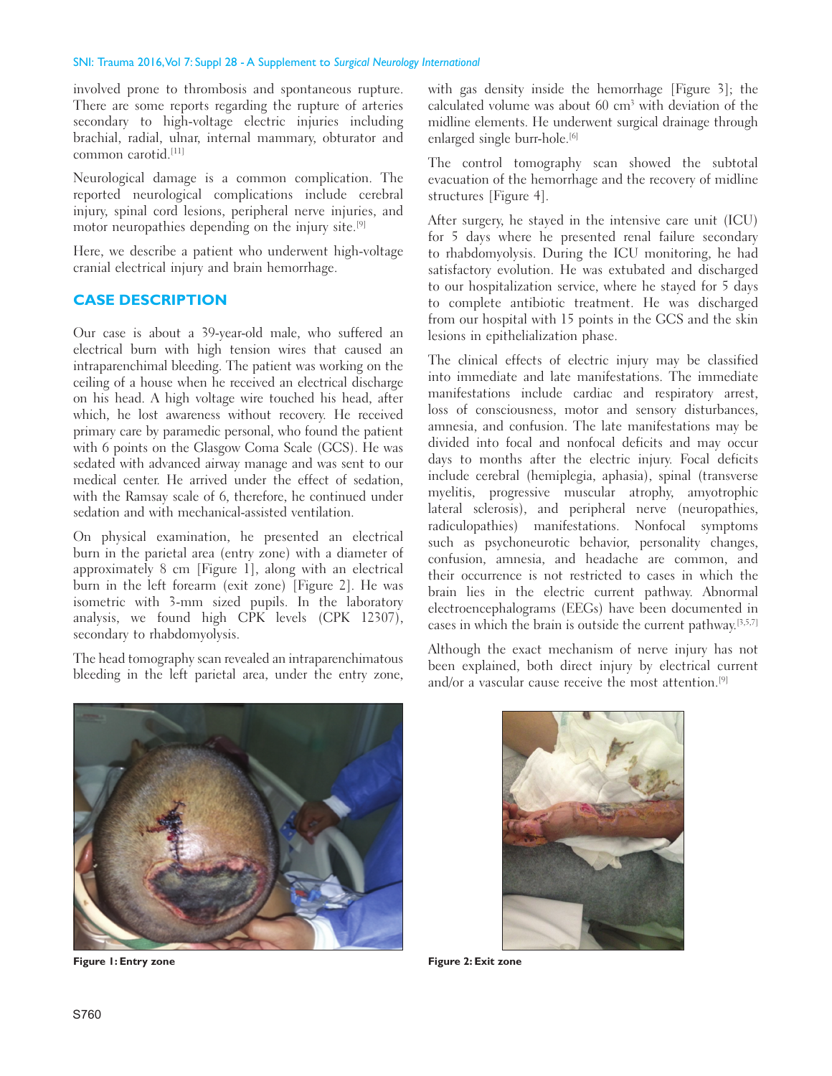#### SNI: Trauma 2016, Vol 7: Suppl 28 - A Supplement to *Surgical Neurology International*

involved prone to thrombosis and spontaneous rupture. There are some reports regarding the rupture of arteries secondary to high-voltage electric injuries including brachial, radial, ulnar, internal mammary, obturator and common carotid<sup>[11]</sup>

Neurological damage is a common complication. The reported neurological complications include cerebral injury, spinal cord lesions, peripheral nerve injuries, and motor neuropathies depending on the injury site.<sup>[9]</sup>

Here, we describe a patient who underwent high-voltage cranial electrical injury and brain hemorrhage.

## **CASE DESCRIPTION**

Our case is about a 39‑year‑old male, who suffered an electrical burn with high tension wires that caused an intraparenchimal bleeding. The patient was working on the ceiling of a house when he received an electrical discharge on his head. A high voltage wire touched his head, after which, he lost awareness without recovery. He received primary care by paramedic personal, who found the patient with 6 points on the Glasgow Coma Scale (GCS). He was sedated with advanced airway manage and was sent to our medical center. He arrived under the effect of sedation, with the Ramsay scale of 6, therefore, he continued under sedation and with mechanical-assisted ventilation.

On physical examination, he presented an electrical burn in the parietal area (entry zone) with a diameter of approximately 8 cm [Figure 1], along with an electrical burn in the left forearm (exit zone) [Figure 2]. He was isometric with 3‑mm sized pupils. In the laboratory analysis, we found high CPK levels (CPK 12307), secondary to rhabdomyolysis.

The head tomography scan revealed an intraparenchimatous bleeding in the left parietal area, under the entry zone, with gas density inside the hemorrhage [Figure 3]; the calculated volume was about 60 cm<sup>3</sup> with deviation of the midline elements. He underwent surgical drainage through enlarged single burr-hole.<sup>[6]</sup>

The control tomography scan showed the subtotal evacuation of the hemorrhage and the recovery of midline structures [Figure 4].

After surgery, he stayed in the intensive care unit (ICU) for 5 days where he presented renal failure secondary to rhabdomyolysis. During the ICU monitoring, he had satisfactory evolution. He was extubated and discharged to our hospitalization service, where he stayed for 5 days to complete antibiotic treatment. He was discharged from our hospital with 15 points in the GCS and the skin lesions in epithelialization phase.

The clinical effects of electric injury may be classified into immediate and late manifestations. The immediate manifestations include cardiac and respiratory arrest, loss of consciousness, motor and sensory disturbances, amnesia, and confusion. The late manifestations may be divided into focal and nonfocal deficits and may occur days to months after the electric injury. Focal deficits include cerebral (hemiplegia, aphasia), spinal (transverse myelitis, progressive muscular atrophy, amyotrophic lateral sclerosis), and peripheral nerve (neuropathies, radiculopathies) manifestations. Nonfocal symptoms such as psychoneurotic behavior, personality changes, confusion, amnesia, and headache are common, and their occurrence is not restricted to cases in which the brain lies in the electric current pathway. Abnormal electroencephalograms (EEGs) have been documented in cases in which the brain is outside the current pathway.[3,5,7]

Although the exact mechanism of nerve injury has not been explained, both direct injury by electrical current and/or a vascular cause receive the most attention.<sup>[9]</sup>



**Figure 1: Entry zone Figure 2: Exit zone**

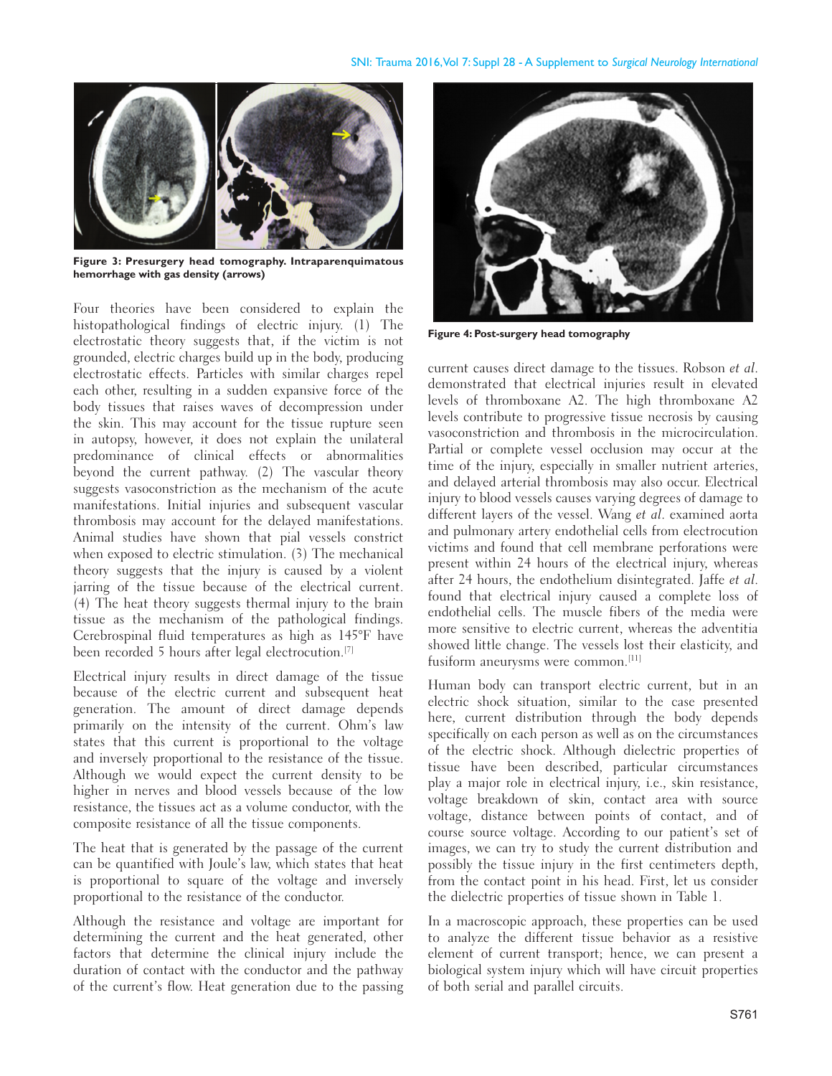

**Figure 3: Presurgery head tomography. Intraparenquimatous hemorrhage with gas density (arrows)**

Four theories have been considered to explain the histopathological findings of electric injury. (1) The electrostatic theory suggests that, if the victim is not grounded, electric charges build up in the body, producing electrostatic effects. Particles with similar charges repel each other, resulting in a sudden expansive force of the body tissues that raises waves of decompression under the skin. This may account for the tissue rupture seen in autopsy, however, it does not explain the unilateral predominance of clinical effects or abnormalities beyond the current pathway. (2) The vascular theory suggests vasoconstriction as the mechanism of the acute manifestations. Initial injuries and subsequent vascular thrombosis may account for the delayed manifestations. Animal studies have shown that pial vessels constrict when exposed to electric stimulation. (3) The mechanical theory suggests that the injury is caused by a violent jarring of the tissue because of the electrical current. (4) The heat theory suggests thermal injury to the brain tissue as the mechanism of the pathological findings. Cerebrospinal fluid temperatures as high as 145°F have been recorded 5 hours after legal electrocution.[7]

Electrical injury results in direct damage of the tissue because of the electric current and subsequent heat generation. The amount of direct damage depends primarily on the intensity of the current. Ohm's law states that this current is proportional to the voltage and inversely proportional to the resistance of the tissue. Although we would expect the current density to be higher in nerves and blood vessels because of the low resistance, the tissues act as a volume conductor, with the composite resistance of all the tissue components.

The heat that is generated by the passage of the current can be quantified with Joule's law, which states that heat is proportional to square of the voltage and inversely proportional to the resistance of the conductor.

Although the resistance and voltage are important for determining the current and the heat generated, other factors that determine the clinical injury include the duration of contact with the conductor and the pathway of the current's flow. Heat generation due to the passing



**Figure 4: Post‑surgery head tomography**

current causes direct damage to the tissues. Robson et al. demonstrated that electrical injuries result in elevated levels of thromboxane A2. The high thromboxane A2 levels contribute to progressive tissue necrosis by causing vasoconstriction and thrombosis in the microcirculation. Partial or complete vessel occlusion may occur at the time of the injury, especially in smaller nutrient arteries, and delayed arterial thrombosis may also occur. Electrical injury to blood vessels causes varying degrees of damage to different layers of the vessel. Wang et al. examined aorta and pulmonary artery endothelial cells from electrocution victims and found that cell membrane perforations were present within 24 hours of the electrical injury, whereas after 24 hours, the endothelium disintegrated. Jaffe et al. found that electrical injury caused a complete loss of endothelial cells. The muscle fibers of the media were more sensitive to electric current, whereas the adventitia showed little change. The vessels lost their elasticity, and fusiform aneurysms were common.<sup>[11]</sup>

Human body can transport electric current, but in an electric shock situation, similar to the case presented here, current distribution through the body depends specifically on each person as well as on the circumstances of the electric shock. Although dielectric properties of tissue have been described, particular circumstances play a major role in electrical injury, i.e., skin resistance, voltage breakdown of skin, contact area with source voltage, distance between points of contact, and of course source voltage. According to our patient's set of images, we can try to study the current distribution and possibly the tissue injury in the first centimeters depth, from the contact point in his head. First, let us consider the dielectric properties of tissue shown in Table 1.

In a macroscopic approach, these properties can be used to analyze the different tissue behavior as a resistive element of current transport; hence, we can present a biological system injury which will have circuit properties of both serial and parallel circuits.